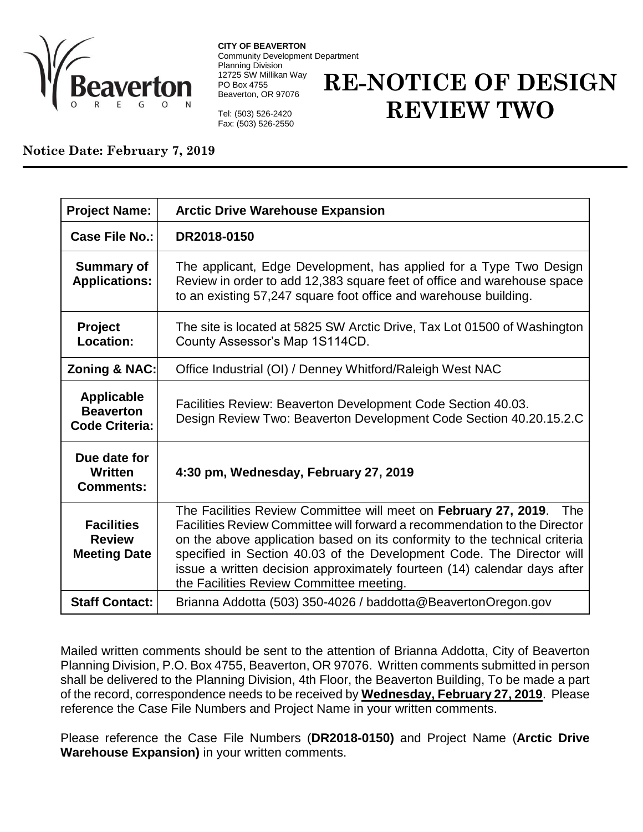

**CITY OF BEAVERTON** Community Development Department Planning Division 12725 SW Millikan Way PO Box 4755 Beaverton, OR 97076

**RE-NOTICE OF DESIGN REVIEW TWO**

Tel: (503) 526-2420 Fax: (503) 526-2550

## **Notice Date: February 7, 2019**

| <b>Project Name:</b>                                           | <b>Arctic Drive Warehouse Expansion</b>                                                                                                                                                                                                                                                                                                                                                                                         |
|----------------------------------------------------------------|---------------------------------------------------------------------------------------------------------------------------------------------------------------------------------------------------------------------------------------------------------------------------------------------------------------------------------------------------------------------------------------------------------------------------------|
| <b>Case File No.:</b>                                          | DR2018-0150                                                                                                                                                                                                                                                                                                                                                                                                                     |
| <b>Summary of</b><br><b>Applications:</b>                      | The applicant, Edge Development, has applied for a Type Two Design<br>Review in order to add 12,383 square feet of office and warehouse space<br>to an existing 57,247 square foot office and warehouse building.                                                                                                                                                                                                               |
| <b>Project</b><br>Location:                                    | The site is located at 5825 SW Arctic Drive, Tax Lot 01500 of Washington<br>County Assessor's Map 1S114CD.                                                                                                                                                                                                                                                                                                                      |
| <b>Zoning &amp; NAC:</b>                                       | Office Industrial (OI) / Denney Whitford/Raleigh West NAC                                                                                                                                                                                                                                                                                                                                                                       |
| <b>Applicable</b><br><b>Beaverton</b><br><b>Code Criteria:</b> | Facilities Review: Beaverton Development Code Section 40.03.<br>Design Review Two: Beaverton Development Code Section 40.20.15.2.C                                                                                                                                                                                                                                                                                              |
| Due date for<br>Written<br><b>Comments:</b>                    | 4:30 pm, Wednesday, February 27, 2019                                                                                                                                                                                                                                                                                                                                                                                           |
| <b>Facilities</b><br><b>Review</b><br><b>Meeting Date</b>      | The Facilities Review Committee will meet on February 27, 2019. The<br>Facilities Review Committee will forward a recommendation to the Director<br>on the above application based on its conformity to the technical criteria<br>specified in Section 40.03 of the Development Code. The Director will<br>issue a written decision approximately fourteen (14) calendar days after<br>the Facilities Review Committee meeting. |
| <b>Staff Contact:</b>                                          | Brianna Addotta (503) 350-4026 / baddotta@BeavertonOregon.gov                                                                                                                                                                                                                                                                                                                                                                   |

Mailed written comments should be sent to the attention of Brianna Addotta, City of Beaverton Planning Division, P.O. Box 4755, Beaverton, OR 97076. Written comments submitted in person shall be delivered to the Planning Division, 4th Floor, the Beaverton Building, To be made a part of the record, correspondence needs to be received by **Wednesday, February 27, 2019**. Please reference the Case File Numbers and Project Name in your written comments.

Please reference the Case File Numbers (**DR2018-0150)** and Project Name (**Arctic Drive Warehouse Expansion)** in your written comments.